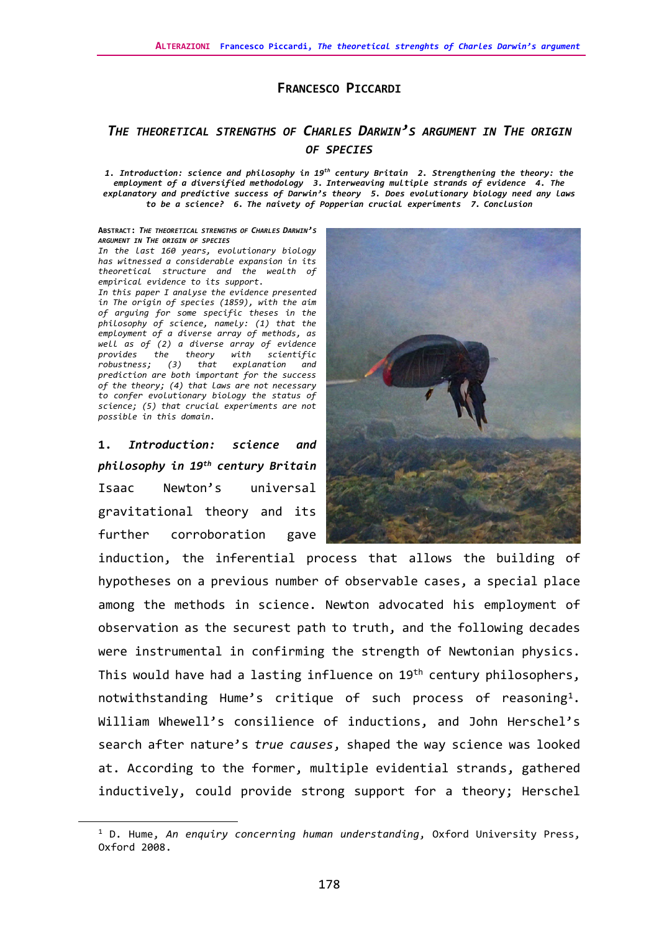## **FRANCESCO PICCARDI**

# *THE THEORETICAL STRENGTHS OF CHARLES DARWIN'S ARGUMENT IN THE ORIGIN OF SPECIES*

*1. Introduction: science and philosophy in 19th century Britain 2. Strengthening the theory: the employment of a diversified methodology 3. Interweaving multiple strands of evidence 4. The explanatory and predictive success of Darwin's theory 5. Does evolutionary biology need any laws to be a science? 6. The naivety of Popperian crucial experiments 7. Conclusion*

#### **ABSTRACT:** *THE THEORETICAL STRENGTHS OF CHARLES DARWIN'S ARGUMENT IN THE ORIGIN OF SPECIES*

*In the last 160 years, evolutionary biology has witnessed a considerable expansion in its theoretical structure and the wealth of empirical evidence to its support. In this paper I analyse the evidence presented in The origin of species (1859), with the aim of arguing for some specific theses in the philosophy of science, namely: (1) that the employment of a diverse array of methods, as well as of (2) a diverse array of evidence provides the theory with scientific robustness; (3) that explanation and prediction are both important for the success of the theory; (4) that laws are not necessary to confer evolutionary biology the status of science; (5) that crucial experiments are not possible in this domain.* 

**1.** *Introduction: science and philosophy in 19th century Britain* Isaac Newton's universal gravitational theory and its further corroboration gave



induction, the inferential process that allows the building of hypotheses on a previous number of observable cases, a special place among the methods in science. Newton advocated his employment of observation as the securest path to truth, and the following decades were instrumental in confirming the strength of Newtonian physics. This would have had a lasting influence on 19<sup>th</sup> century philosophers, notwithstanding Hume's critique of such process of reasoning<sup>1</sup>. William Whewell's consilience of inductions, and John Herschel's search after nature's *true causes*, shaped the way science was looked at. According to the former, multiple evidential strands, gathered inductively, could provide strong support for a theory; Herschel

<span id="page-0-0"></span><sup>1</sup> D. Hume, *An enquiry concerning human understanding*, Oxford University Press, Oxford 2008.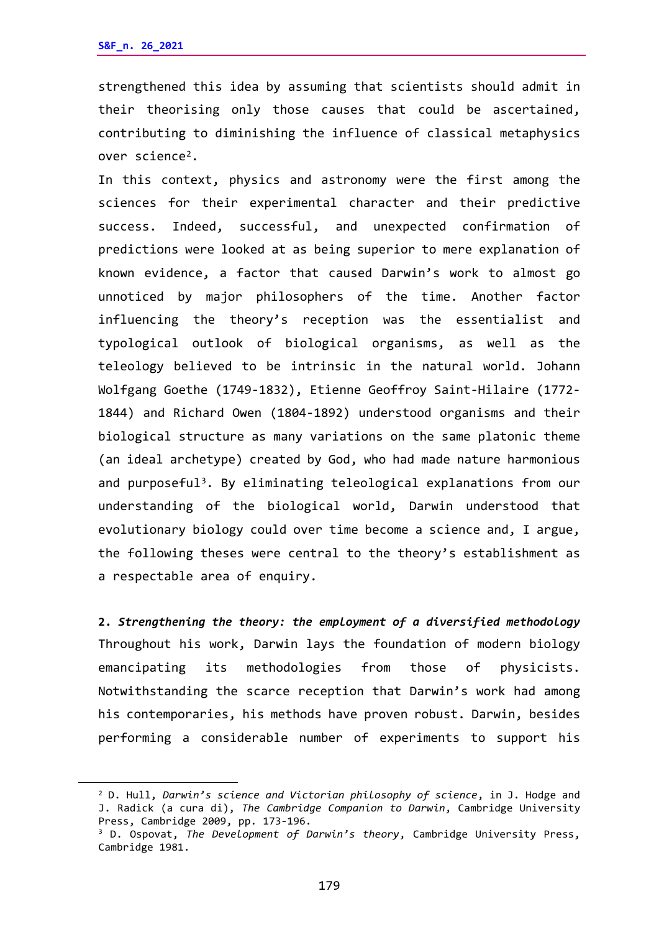strengthened this idea by assuming that scientists should admit in their theorising only those causes that could be ascertained, contributing to diminishing the influence of classical metaphysics over scienc[e2.](#page-1-0)

In this context, physics and astronomy were the first among the sciences for their experimental character and their predictive success. Indeed, successful, and unexpected confirmation of predictions were looked at as being superior to mere explanation of known evidence, a factor that caused Darwin's work to almost go unnoticed by major philosophers of the time. Another factor influencing the theory's reception was the essentialist and typological outlook of biological organisms, as well as the teleology believed to be intrinsic in the natural world. Johann Wolfgang Goethe (1749-1832), Etienne Geoffroy Saint-Hilaire (1772- 1844) and Richard Owen (1804-1892) understood organisms and their biological structure as many variations on the same platonic theme (an ideal archetype) created by God, who had made nature harmonious and purposeful<sup>[3](#page-1-1)</sup>. By eliminating teleological explanations from our understanding of the biological world, Darwin understood that evolutionary biology could over time become a science and, I argue, the following theses were central to the theory's establishment as a respectable area of enquiry.

**2.** *Strengthening the theory: the employment of a diversified methodology* Throughout his work, Darwin lays the foundation of modern biology emancipating its methodologies from those of physicists. Notwithstanding the scarce reception that Darwin's work had among his contemporaries, his methods have proven robust. Darwin, besides performing a considerable number of experiments to support his

<span id="page-1-0"></span><sup>2</sup> D. Hull, *Darwin's science and Victorian philosophy of science*, in J. Hodge and J. Radick (a cura di), *The Cambridge Companion to Darwin*, Cambridge University Press, Cambridge 2009, pp. 173-196.<br><sup>3</sup> D. Ospovat, *The Development of Darwin's theory*, Cambridge University Press,

<span id="page-1-1"></span>Cambridge 1981.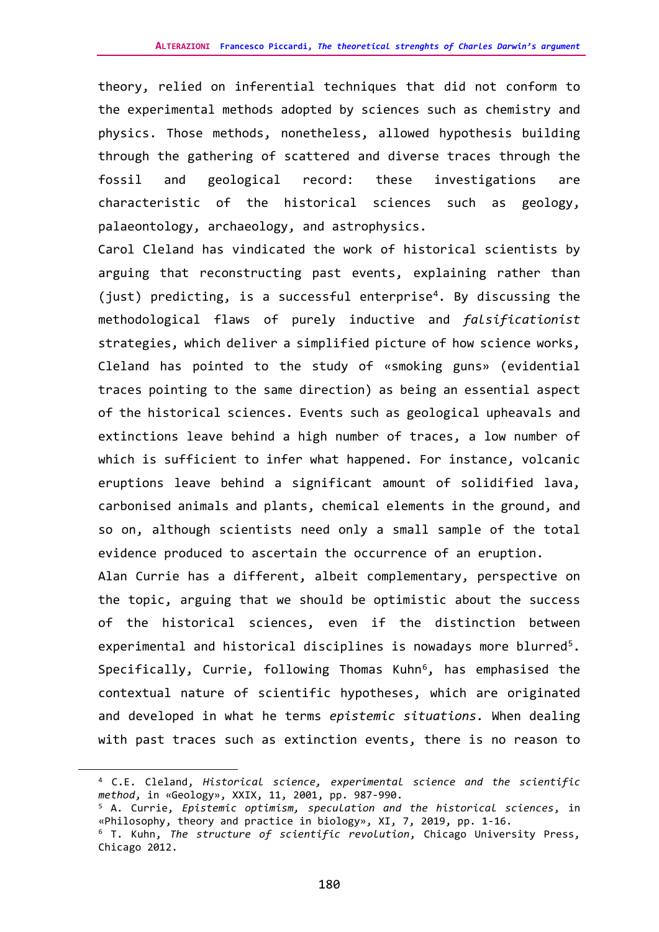theory, relied on inferential techniques that did not conform to the experimental methods adopted by sciences such as chemistry and physics. Those methods, nonetheless, allowed hypothesis building through the gathering of scattered and diverse traces through the fossil and geological record: these investigations are characteristic of the historical sciences such as geology, palaeontology, archaeology, and astrophysics.

Carol Cleland has vindicated the work of historical scientists by arguing that reconstructing past events, explaining rather than (just) predicting, is a successful enterprise<sup>[4](#page-2-0)</sup>. By discussing the methodological flaws of purely inductive and *falsificationist* strategies, which deliver a simplified picture of how science works, Cleland has pointed to the study of «smoking guns» (evidential traces pointing to the same direction) as being an essential aspect of the historical sciences. Events such as geological upheavals and extinctions leave behind a high number of traces, a low number of which is sufficient to infer what happened. For instance, volcanic eruptions leave behind a significant amount of solidified lava, carbonised animals and plants, chemical elements in the ground, and so on, although scientists need only a small sample of the total evidence produced to ascertain the occurrence of an eruption.

Alan Currie has a different, albeit complementary, perspective on the topic, arguing that we should be optimistic about the success of the historical sciences, even if the distinction between experimental and historical disciplines is nowadays more blurred<sup>5</sup>. Specifically, Currie, following Thomas Kuhn<sup>[6](#page-2-2)</sup>, has emphasised the contextual nature of scientific hypotheses, which are originated and developed in what he terms *epistemic situations.* When dealing with past traces such as extinction events, there is no reason to

<span id="page-2-0"></span><sup>4</sup> C.E. Cleland, *Historical science, experimental science and the scientific method*, in «Geology», XXIX, 11, 2001, pp. 987-990.

<span id="page-2-1"></span><sup>5</sup> A. Currie, *Epistemic optimism, speculation and the historical sciences*, in «Philosophy, theory and practice in biology», XI, 7, 2019, pp. 1-16.

<span id="page-2-2"></span><sup>6</sup> T. Kuhn, *The structure of scientific revolution*, Chicago University Press, Chicago 2012.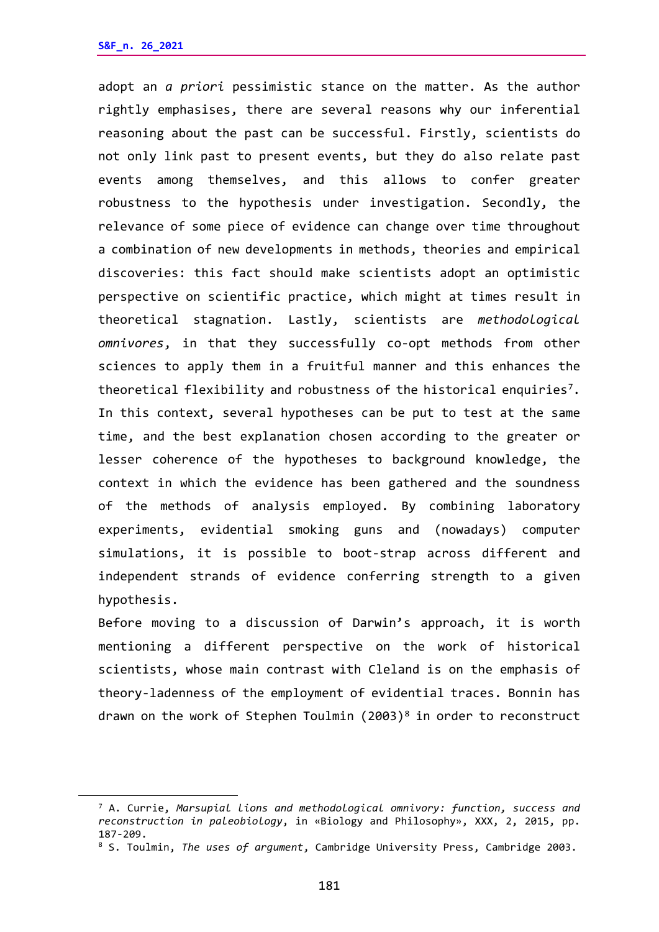adopt an *a priori* pessimistic stance on the matter. As the author rightly emphasises, there are several reasons why our inferential reasoning about the past can be successful. Firstly, scientists do not only link past to present events, but they do also relate past events among themselves, and this allows to confer greater robustness to the hypothesis under investigation. Secondly, the relevance of some piece of evidence can change over time throughout a combination of new developments in methods, theories and empirical discoveries: this fact should make scientists adopt an optimistic perspective on scientific practice, which might at times result in theoretical stagnation. Lastly, scientists are *methodological omnivores*, in that they successfully co-opt methods from other sciences to apply them in a fruitful manner and this enhances the theoretical flexibility and robustness of the historical enquiries[7.](#page-3-0) In this context, several hypotheses can be put to test at the same time, and the best explanation chosen according to the greater or lesser coherence of the hypotheses to background knowledge, the context in which the evidence has been gathered and the soundness of the methods of analysis employed. By combining laboratory experiments, evidential smoking guns and (nowadays) computer simulations, it is possible to boot-strap across different and independent strands of evidence conferring strength to a given hypothesis.

Before moving to a discussion of Darwin's approach, it is worth mentioning a different perspective on the work of historical scientists, whose main contrast with Cleland is on the emphasis of theory-ladenness of the employment of evidential traces. Bonnin has drawn on the work of Stephen Toulmin  $(2003)^8$  $(2003)^8$  in order to reconstruct

<span id="page-3-0"></span><sup>7</sup> A. Currie, *Marsupial lions and methodological omnivory: function, success and reconstruction in paleobiology*, in «Biology and Philosophy», XXX, 2, 2015, pp. 187-209.

<span id="page-3-1"></span><sup>8</sup> S. Toulmin, *The uses of argument*, Cambridge University Press, Cambridge 2003.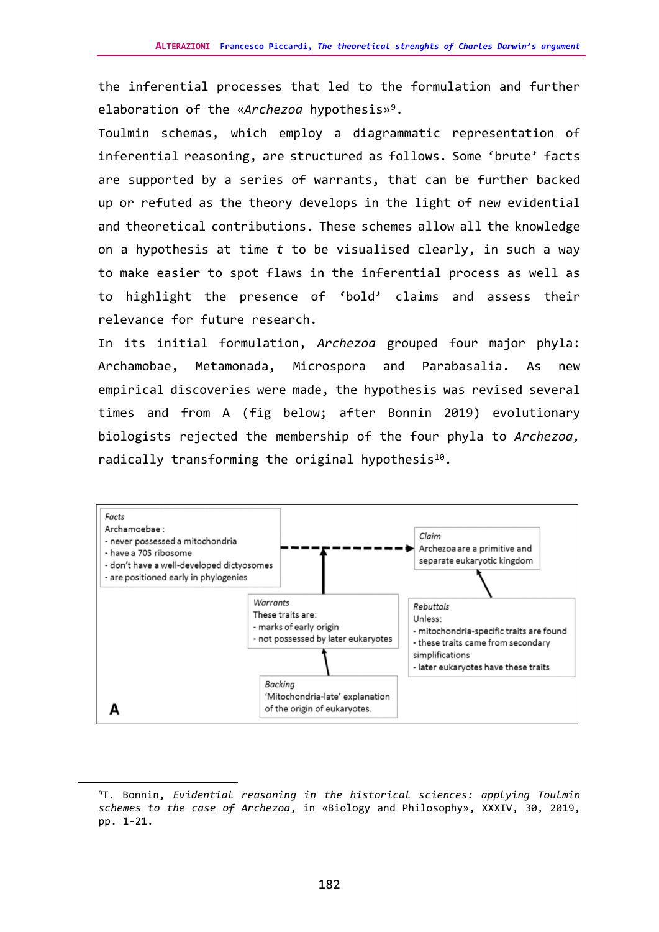the inferential processes that led to the formulation and further elaboration of the «*Archezoa* hypothesis»[9.](#page-4-0)

Toulmin schemas, which employ a diagrammatic representation of inferential reasoning, are structured as follows. Some 'brute' facts are supported by a series of warrants, that can be further backed up or refuted as the theory develops in the light of new evidential and theoretical contributions. These schemes allow all the knowledge on a hypothesis at time *t* to be visualised clearly, in such a way to make easier to spot flaws in the inferential process as well as to highlight the presence of 'bold' claims and assess their relevance for future research.

In its initial formulation, *Archezoa* grouped four major phyla: Archamobae, Metamonada, Microspora and Parabasalia. As new empirical discoveries were made, the hypothesis was revised several times and from A (fig below; after Bonnin 2019) evolutionary biologists rejected the membership of the four phyla to *Archezoa,*  radically transforming the original hypothesis<sup>10</sup>.



<span id="page-4-1"></span><span id="page-4-0"></span><sup>9</sup>T. Bonnin, *Evidential reasoning in the historical sciences: applying Toulmin schemes to the case of Archezoa*, in «Biology and Philosophy», XXXIV, 30, 2019, pp. 1-21.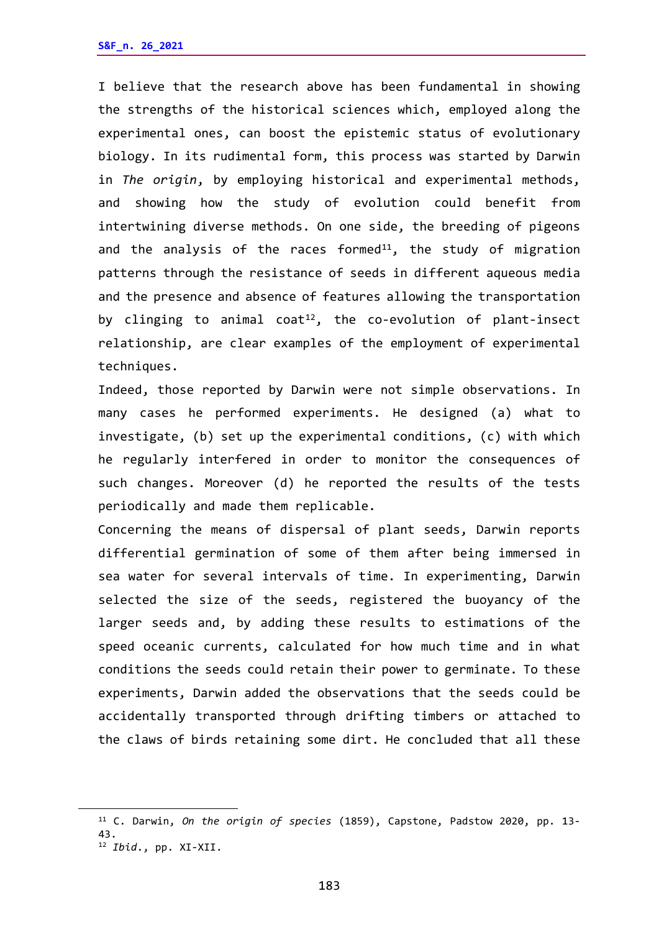I believe that the research above has been fundamental in showing the strengths of the historical sciences which, employed along the experimental ones, can boost the epistemic status of evolutionary biology. In its rudimental form, this process was started by Darwin in *The origin*, by employing historical and experimental methods, and showing how the study of evolution could benefit from intertwining diverse methods. On one side, the breeding of pigeons and the analysis of the races formed<sup>[11](#page-5-0)</sup>, the study of migration patterns through the resistance of seeds in different aqueous media and the presence and absence of features allowing the transportation by clinging to animal coat<sup>[12](#page-5-1)</sup>, the co-evolution of plant-insect relationship, are clear examples of the employment of experimental techniques.

Indeed, those reported by Darwin were not simple observations. In many cases he performed experiments. He designed (a) what to investigate, (b) set up the experimental conditions, (c) with which he regularly interfered in order to monitor the consequences of such changes. Moreover (d) he reported the results of the tests periodically and made them replicable.

Concerning the means of dispersal of plant seeds, Darwin reports differential germination of some of them after being immersed in sea water for several intervals of time. In experimenting, Darwin selected the size of the seeds, registered the buoyancy of the larger seeds and, by adding these results to estimations of the speed oceanic currents, calculated for how much time and in what conditions the seeds could retain their power to germinate. To these experiments, Darwin added the observations that the seeds could be accidentally transported through drifting timbers or attached to the claws of birds retaining some dirt. He concluded that all these

<span id="page-5-1"></span><span id="page-5-0"></span><sup>11</sup> C. Darwin, *On the origin of species* (1859), Capstone, Padstow 2020, pp. 13- 43. 12 *Ibid*., pp. XI-XII.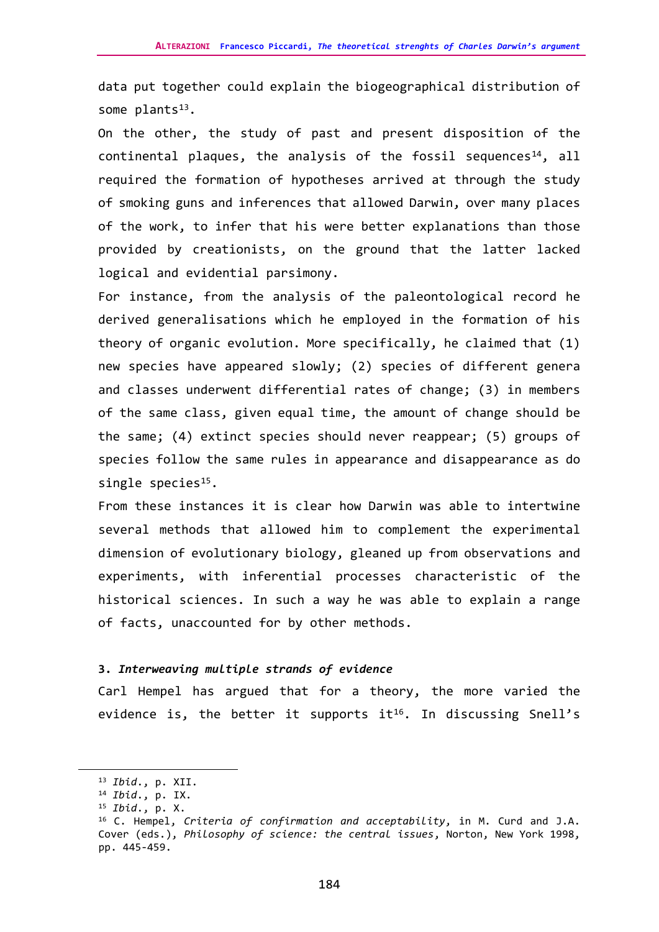data put together could explain the biogeographical distribution of some  $plants^{13}$ .

On the other, the study of past and present disposition of the continental plaques, the analysis of the fossil sequences<sup>[14](#page-6-1)</sup>, all required the formation of hypotheses arrived at through the study of smoking guns and inferences that allowed Darwin, over many places of the work, to infer that his were better explanations than those provided by creationists, on the ground that the latter lacked logical and evidential parsimony.

For instance, from the analysis of the paleontological record he derived generalisations which he employed in the formation of his theory of organic evolution. More specifically, he claimed that (1) new species have appeared slowly; (2) species of different genera and classes underwent differential rates of change; (3) in members of the same class, given equal time, the amount of change should be the same; (4) extinct species should never reappear; (5) groups of species follow the same rules in appearance and disappearance as do single species $15$ .

From these instances it is clear how Darwin was able to intertwine several methods that allowed him to complement the experimental dimension of evolutionary biology, gleaned up from observations and experiments, with inferential processes characteristic of the historical sciences. In such a way he was able to explain a range of facts, unaccounted for by other methods.

## **3.** *Interweaving multiple strands of evidence*

Carl Hempel has argued that for a theory, the more varied the evidence is, the better it supports it<sup>16</sup>. In discussing Snell's

<span id="page-6-0"></span><sup>13</sup> *Ibid*., p. XII.

<span id="page-6-1"></span><sup>14</sup> *Ibid*., p. IX.

<span id="page-6-2"></span><sup>15</sup> *Ibid*., p. X.

<span id="page-6-3"></span><sup>16</sup> C. Hempel, *Criteria of confirmation and acceptability*, in M. Curd and J.A. Cover (eds.), *Philosophy of science: the central issues*, Norton, New York 1998, pp. 445-459.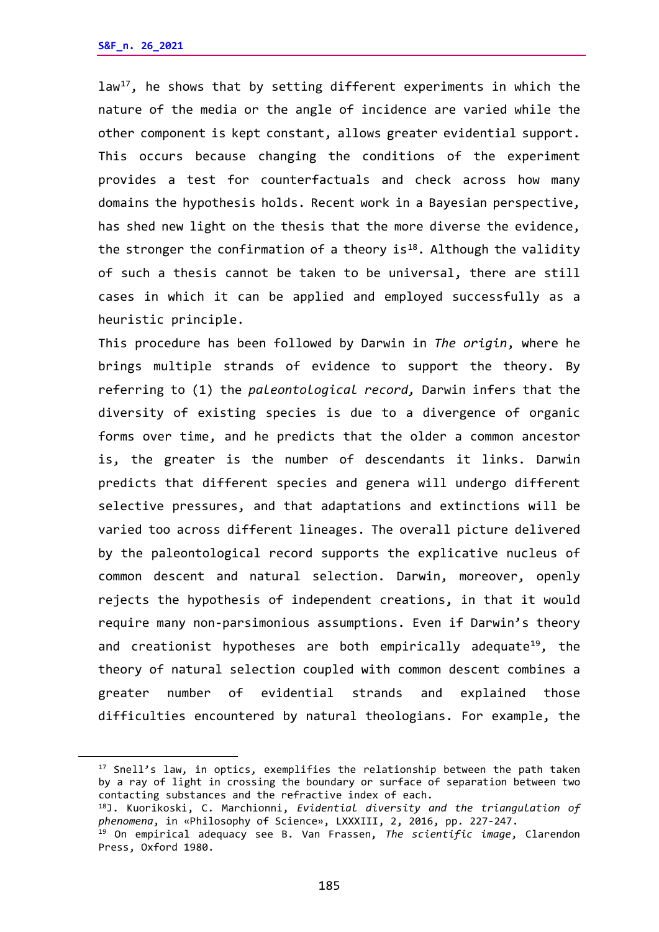law<sup>17</sup>, he shows that by setting different experiments in which the nature of the media or the angle of incidence are varied while the other component is kept constant, allows greater evidential support. This occurs because changing the conditions of the experiment provides a test for counterfactuals and check across how many domains the hypothesis holds. Recent work in a Bayesian perspective, has shed new light on the thesis that the more diverse the evidence, the stronger the confirmation of a theory  $is^{18}$  $is^{18}$  $is^{18}$ . Although the validity of such a thesis cannot be taken to be universal, there are still cases in which it can be applied and employed successfully as a heuristic principle.

This procedure has been followed by Darwin in *The origin*, where he brings multiple strands of evidence to support the theory. By referring to (1) the *paleontological record,* Darwin infers that the diversity of existing species is due to a divergence of organic forms over time, and he predicts that the older a common ancestor is, the greater is the number of descendants it links. Darwin predicts that different species and genera will undergo different selective pressures, and that adaptations and extinctions will be varied too across different lineages. The overall picture delivered by the paleontological record supports the explicative nucleus of common descent and natural selection. Darwin, moreover, openly rejects the hypothesis of independent creations, in that it would require many non-parsimonious assumptions. Even if Darwin's theory and creationist hypotheses are both empirically adequate<sup>[19](#page-7-2)</sup>, the theory of natural selection coupled with common descent combines a greater number of evidential strands and explained those difficulties encountered by natural theologians. For example, the

<span id="page-7-0"></span><sup>&</sup>lt;sup>17</sup> Snell's law, in optics, exemplifies the relationship between the path taken by a ray of light in crossing the boundary or surface of separation between two contacting substances and the refractive index of each.

<span id="page-7-1"></span><sup>18</sup>J. Kuorikoski, C. Marchionni, *Evidential diversity and the triangulation of phenomena*, in «Philosophy of Science», LXXXIII, 2, 2016, pp. 227-247.

<span id="page-7-2"></span><sup>19</sup> On empirical adequacy see B. Van Frassen, *The scientific image*, Clarendon Press, Oxford 1980.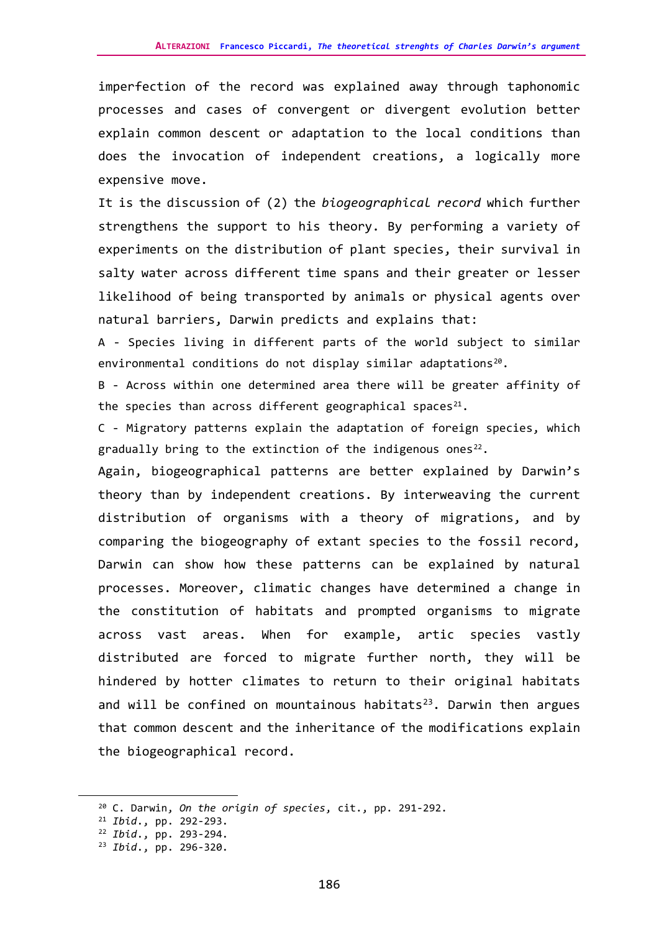imperfection of the record was explained away through taphonomic processes and cases of convergent or divergent evolution better explain common descent or adaptation to the local conditions than does the invocation of independent creations, a logically more expensive move.

It is the discussion of (2) the *biogeographical record* which further strengthens the support to his theory. By performing a variety of experiments on the distribution of plant species, their survival in salty water across different time spans and their greater or lesser likelihood of being transported by animals or physical agents over natural barriers, Darwin predicts and explains that:

A - Species living in different parts of the world subject to similar environmental conditions do not display similar adaptations<sup>20</sup>.

B - Across within one determined area there will be greater affinity of the species than across different geographical spaces<sup>[21](#page-8-1)</sup>.

C - Migratory patterns explain the adaptation of foreign species, which gradually bring to the extinction of the indigenous ones<sup>22</sup>.

Again, biogeographical patterns are better explained by Darwin's theory than by independent creations. By interweaving the current distribution of organisms with a theory of migrations, and by comparing the biogeography of extant species to the fossil record, Darwin can show how these patterns can be explained by natural processes. Moreover, climatic changes have determined a change in the constitution of habitats and prompted organisms to migrate across vast areas. When for example, artic species vastly distributed are forced to migrate further north, they will be hindered by hotter climates to return to their original habitats and will be confined on mountainous habitats<sup>[23](#page-8-3)</sup>. Darwin then argues that common descent and the inheritance of the modifications explain the biogeographical record.

<span id="page-8-0"></span><sup>20</sup> C. Darwin, *On the origin of species*, cit., pp. 291-292.

<span id="page-8-1"></span><sup>21</sup> *Ibid*., pp. 292-293.

<span id="page-8-2"></span><sup>22</sup> *Ibid*., pp. 293-294.

<span id="page-8-3"></span><sup>23</sup> *Ibid*., pp. 296-320.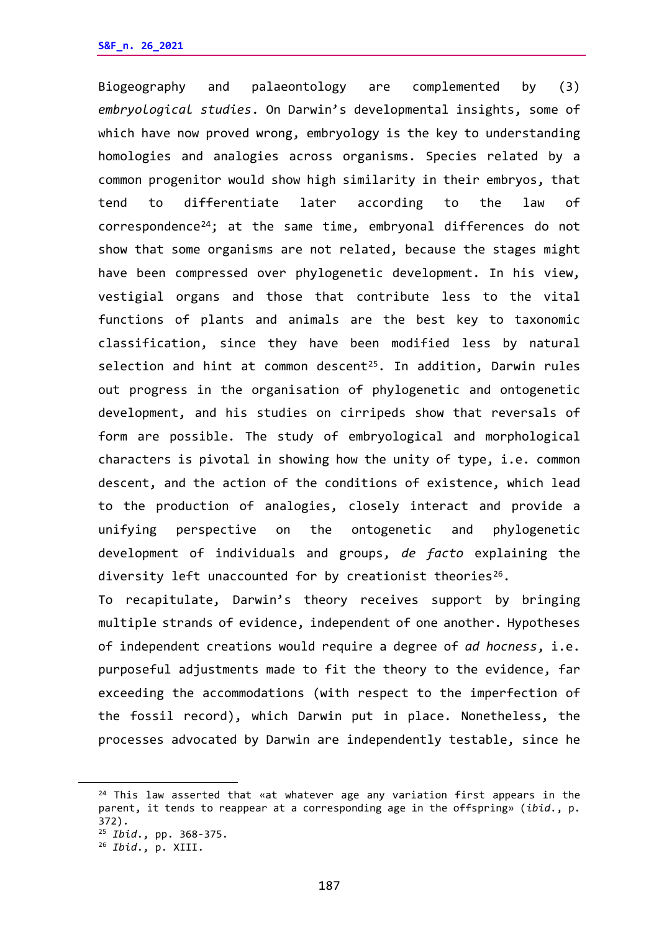Biogeography and palaeontology are complemented by (3) *embryological studies*. On Darwin's developmental insights, some of which have now proved wrong, embryology is the key to understanding homologies and analogies across organisms. Species related by a common progenitor would show high similarity in their embryos, that tend to differentiate later according to the law of correspondence[24;](#page-9-0) at the same time, embryonal differences do not show that some organisms are not related, because the stages might have been compressed over phylogenetic development. In his view, vestigial organs and those that contribute less to the vital functions of plants and animals are the best key to taxonomic classification, since they have been modified less by natural selection and hint at common descent<sup>25</sup>. In addition, Darwin rules out progress in the organisation of phylogenetic and ontogenetic development, and his studies on cirripeds show that reversals of form are possible. The study of embryological and morphological characters is pivotal in showing how the unity of type, i.e. common descent, and the action of the conditions of existence, which lead to the production of analogies, closely interact and provide a unifying perspective on the ontogenetic and phylogenetic development of individuals and groups, *de facto* explaining the diversity left unaccounted for by creationist theories<sup>26</sup>.

To recapitulate, Darwin's theory receives support by bringing multiple strands of evidence, independent of one another. Hypotheses of independent creations would require a degree of *ad hocness*, i.e. purposeful adjustments made to fit the theory to the evidence, far exceeding the accommodations (with respect to the imperfection of the fossil record), which Darwin put in place. Nonetheless, the processes advocated by Darwin are independently testable, since he

<span id="page-9-0"></span><sup>&</sup>lt;sup>24</sup> This law asserted that «at whatever age any variation first appears in the parent, it tends to reappear at a corresponding age in the offspring» (*ibid*., p. 372).

<span id="page-9-1"></span><sup>25</sup> *Ibid*., pp. 368-375.

<span id="page-9-2"></span><sup>26</sup> *Ibid*., p. XIII.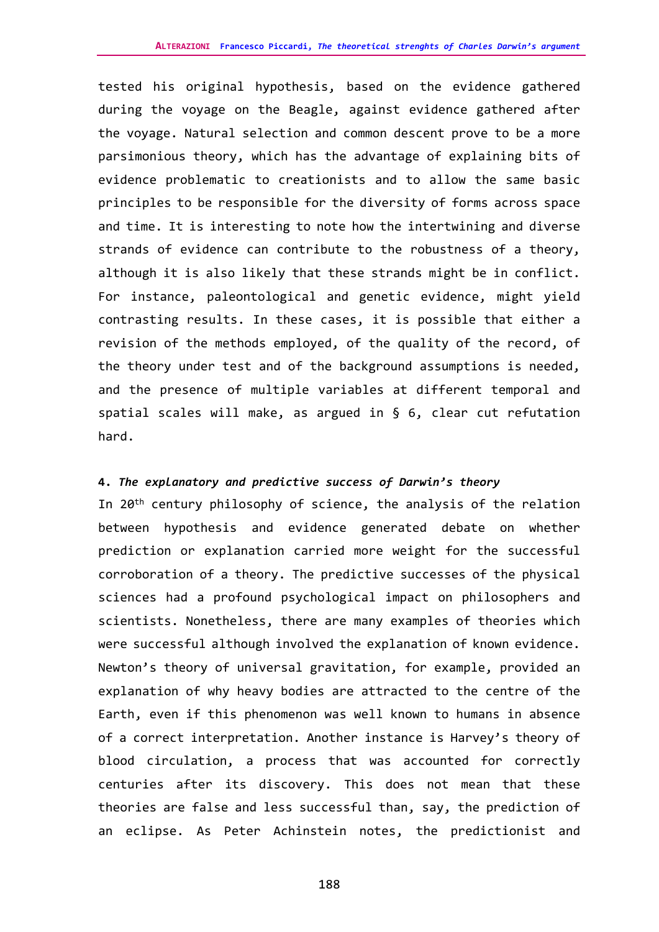tested his original hypothesis, based on the evidence gathered during the voyage on the Beagle, against evidence gathered after the voyage. Natural selection and common descent prove to be a more parsimonious theory, which has the advantage of explaining bits of evidence problematic to creationists and to allow the same basic principles to be responsible for the diversity of forms across space and time. It is interesting to note how the intertwining and diverse strands of evidence can contribute to the robustness of a theory, although it is also likely that these strands might be in conflict. For instance, paleontological and genetic evidence, might yield contrasting results. In these cases, it is possible that either a revision of the methods employed, of the quality of the record, of the theory under test and of the background assumptions is needed, and the presence of multiple variables at different temporal and spatial scales will make, as argued in § 6, clear cut refutation hard.

## **4.** *The explanatory and predictive success of Darwin's theory*

In 20th century philosophy of science, the analysis of the relation between hypothesis and evidence generated debate on whether prediction or explanation carried more weight for the successful corroboration of a theory. The predictive successes of the physical sciences had a profound psychological impact on philosophers and scientists. Nonetheless, there are many examples of theories which were successful although involved the explanation of known evidence. Newton's theory of universal gravitation, for example, provided an explanation of why heavy bodies are attracted to the centre of the Earth, even if this phenomenon was well known to humans in absence of a correct interpretation. Another instance is Harvey's theory of blood circulation, a process that was accounted for correctly centuries after its discovery. This does not mean that these theories are false and less successful than, say, the prediction of an eclipse. As Peter Achinstein notes, the predictionist and

188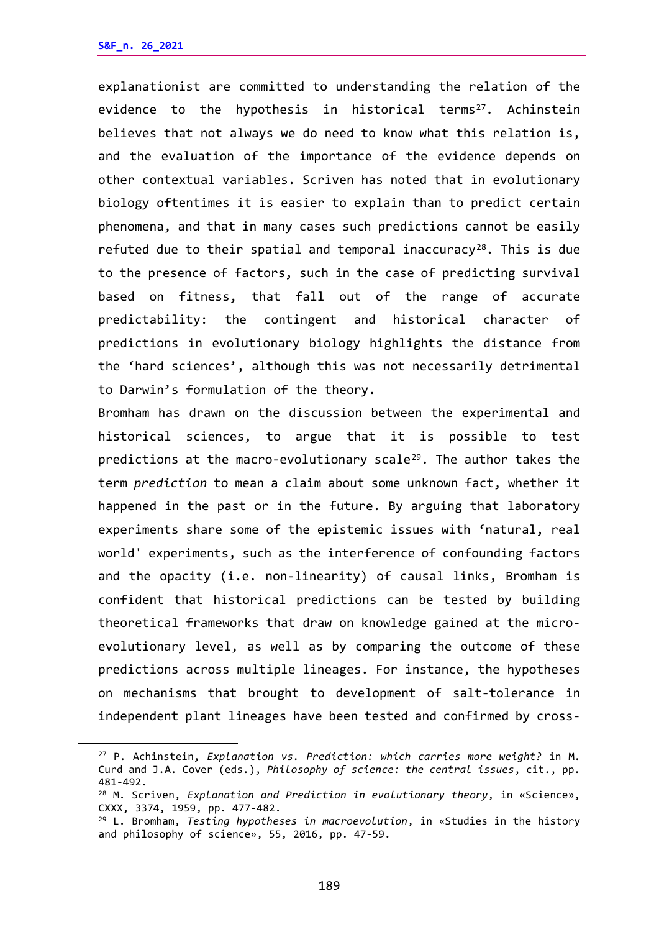explanationist are committed to understanding the relation of the evidence to the hypothesis in historical terms<sup>[27](#page-11-0)</sup>. Achinstein believes that not always we do need to know what this relation is, and the evaluation of the importance of the evidence depends on other contextual variables. Scriven has noted that in evolutionary biology oftentimes it is easier to explain than to predict certain phenomena, and that in many cases such predictions cannot be easily refuted due to their spatial and temporal inaccuracy<sup>[28](#page-11-1)</sup>. This is due to the presence of factors, such in the case of predicting survival based on fitness, that fall out of the range of accurate predictability: the contingent and historical character of predictions in evolutionary biology highlights the distance from the 'hard sciences', although this was not necessarily detrimental to Darwin's formulation of the theory.

Bromham has drawn on the discussion between the experimental and historical sciences, to argue that it is possible to test predictions at the macro-evolutionary scale<sup>29</sup>. The author takes the term *prediction* to mean a claim about some unknown fact, whether it happened in the past or in the future. By arguing that laboratory experiments share some of the epistemic issues with 'natural, real world' experiments, such as the interference of confounding factors and the opacity (i.e. non-linearity) of causal links, Bromham is confident that historical predictions can be tested by building theoretical frameworks that draw on knowledge gained at the microevolutionary level, as well as by comparing the outcome of these predictions across multiple lineages. For instance, the hypotheses on mechanisms that brought to development of salt-tolerance in independent plant lineages have been tested and confirmed by cross-

<span id="page-11-0"></span><sup>27</sup> P. Achinstein, *Explanation vs. Prediction: which carries more weight?* in M. Curd and J.A. Cover (eds.), *Philosophy of science: the central issues*, cit., pp. 481-492.

<span id="page-11-1"></span><sup>28</sup> M. Scriven, *Explanation and Prediction in evolutionary theory*, in «Science», CXXX, 3374, 1959, pp. 477-482.

<span id="page-11-2"></span><sup>29</sup> L. Bromham, *Testing hypotheses in macroevolution*, in «Studies in the history and philosophy of science», 55, 2016, pp. 47-59.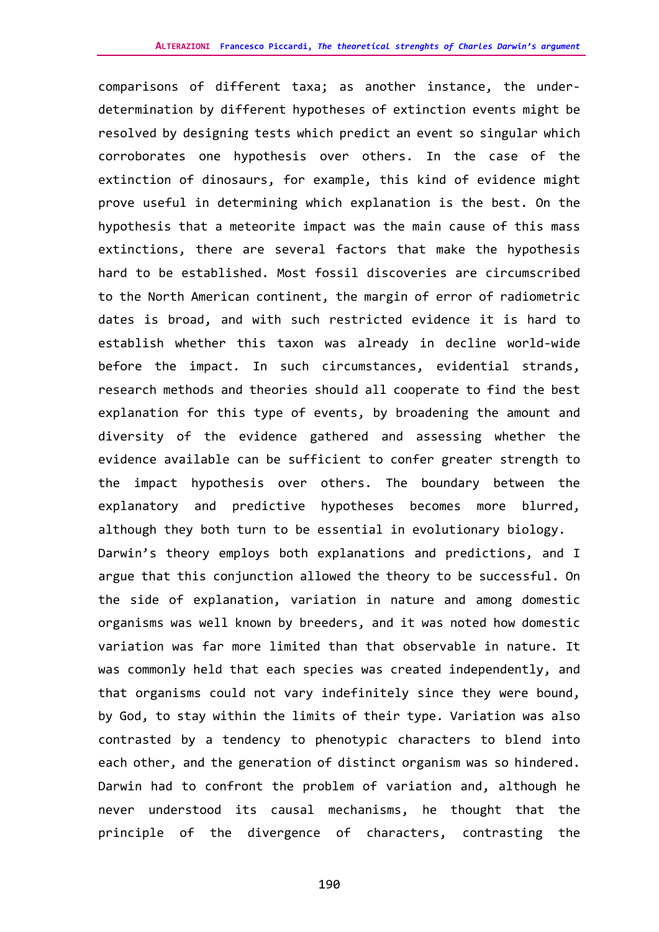comparisons of different taxa; as another instance, the underdetermination by different hypotheses of extinction events might be resolved by designing tests which predict an event so singular which corroborates one hypothesis over others. In the case of the extinction of dinosaurs, for example, this kind of evidence might prove useful in determining which explanation is the best. On the hypothesis that a meteorite impact was the main cause of this mass extinctions, there are several factors that make the hypothesis hard to be established. Most fossil discoveries are circumscribed to the North American continent, the margin of error of radiometric dates is broad, and with such restricted evidence it is hard to establish whether this taxon was already in decline world-wide before the impact. In such circumstances, evidential strands, research methods and theories should all cooperate to find the best explanation for this type of events, by broadening the amount and diversity of the evidence gathered and assessing whether the evidence available can be sufficient to confer greater strength to the impact hypothesis over others. The boundary between the explanatory and predictive hypotheses becomes more blurred, although they both turn to be essential in evolutionary biology. Darwin's theory employs both explanations and predictions, and I argue that this conjunction allowed the theory to be successful. On the side of explanation, variation in nature and among domestic organisms was well known by breeders, and it was noted how domestic variation was far more limited than that observable in nature. It was commonly held that each species was created independently, and that organisms could not vary indefinitely since they were bound, by God, to stay within the limits of their type. Variation was also contrasted by a tendency to phenotypic characters to blend into each other, and the generation of distinct organism was so hindered. Darwin had to confront the problem of variation and, although he never understood its causal mechanisms, he thought that the principle of the divergence of characters, contrasting the

190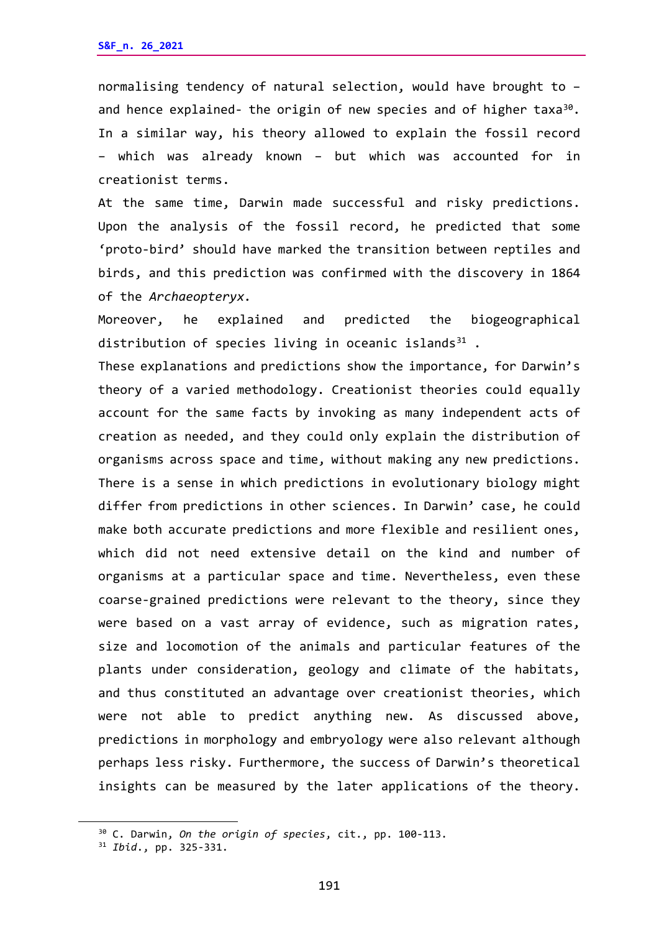normalising tendency of natural selection, would have brought to – and hence explained- the origin of new species and of higher taxa $30$ . In a similar way, his theory allowed to explain the fossil record – which was already known – but which was accounted for in creationist terms.

At the same time, Darwin made successful and risky predictions. Upon the analysis of the fossil record, he predicted that some 'proto-bird' should have marked the transition between reptiles and birds, and this prediction was confirmed with the discovery in 1864 of the *Archaeopteryx.*

Moreover, he explained and predicted the biogeographical distribution of species living in oceanic islands $31$ .

These explanations and predictions show the importance, for Darwin's theory of a varied methodology. Creationist theories could equally account for the same facts by invoking as many independent acts of creation as needed, and they could only explain the distribution of organisms across space and time, without making any new predictions. There is a sense in which predictions in evolutionary biology might differ from predictions in other sciences. In Darwin' case, he could make both accurate predictions and more flexible and resilient ones, which did not need extensive detail on the kind and number of organisms at a particular space and time. Nevertheless, even these coarse-grained predictions were relevant to the theory, since they were based on a vast array of evidence, such as migration rates, size and locomotion of the animals and particular features of the plants under consideration, geology and climate of the habitats, and thus constituted an advantage over creationist theories, which were not able to predict anything new. As discussed above, predictions in morphology and embryology were also relevant although perhaps less risky. Furthermore, the success of Darwin's theoretical insights can be measured by the later applications of the theory.

<span id="page-13-0"></span><sup>30</sup> C. Darwin, *On the origin of species*, cit., pp. 100-113.

<span id="page-13-1"></span><sup>31</sup> *Ibid*., pp. 325-331.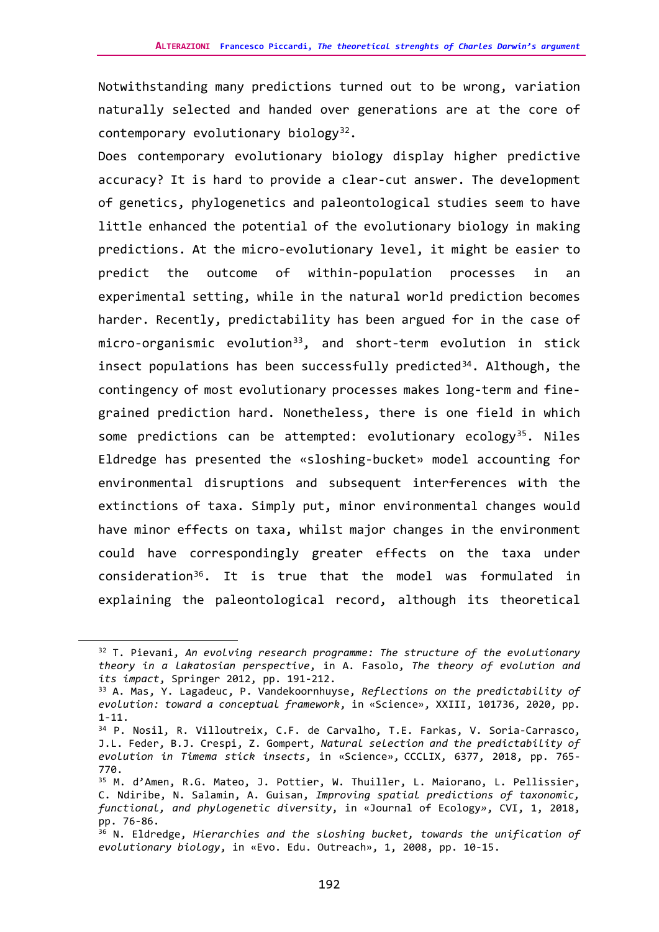Notwithstanding many predictions turned out to be wrong, variation naturally selected and handed over generations are at the core of contemporary evolutionary biology $32$ .

Does contemporary evolutionary biology display higher predictive accuracy? It is hard to provide a clear-cut answer. The development of genetics, phylogenetics and paleontological studies seem to have little enhanced the potential of the evolutionary biology in making predictions. At the micro-evolutionary level, it might be easier to predict the outcome of within-population processes in an experimental setting, while in the natural world prediction becomes harder. Recently, predictability has been argued for in the case of micro-organismic evolution<sup>33</sup>, and short-term evolution in stick insect populations has been successfully predicted<sup>[34](#page-14-2)</sup>. Although, the contingency of most evolutionary processes makes long-term and finegrained prediction hard. Nonetheless, there is one field in which some predictions can be attempted: evolutionary ecology<sup>35</sup>. Niles Eldredge has presented the «sloshing-bucket» model accounting for environmental disruptions and subsequent interferences with the extinctions of taxa. Simply put, minor environmental changes would have minor effects on taxa, whilst major changes in the environment could have correspondingly greater effects on the taxa under consideration[36.](#page-14-4) It is true that the model was formulated in explaining the paleontological record, although its theoretical

<span id="page-14-0"></span><sup>32</sup> T. Pievani, *An evolving research programme: The structure of the evolutionary theory in a lakatosian perspective*, in A. Fasolo, *The theory of evolution and its impact*, Springer 2012, pp. 191-212.

<span id="page-14-1"></span><sup>33</sup> A. Mas, Y. Lagadeuc, P. Vandekoornhuyse, *Reflections on the predictability of evolution: toward a conceptual framework*, in «Science», XXIII, 101736, 2020, pp. 1-11.

<span id="page-14-2"></span><sup>34</sup> P. Nosil, R. Villoutreix, C.F. de Carvalho, T.E. Farkas, V. Soria-Carrasco, J.L. Feder, B.J. Crespi, Z. Gompert, *Natural selection and the predictability of evolution in Timema stick insects*, in «Science», CCCLIX, 6377, 2018, pp. 765- 770.

<span id="page-14-3"></span><sup>35</sup> M. d'Amen, R.G. Mateo, J. Pottier, W. Thuiller, L. Maiorano, L. Pellissier, C. Ndiribe, N. Salamin, A. Guisan, *Improving spatial predictions of taxonomic, functional, and phylogenetic diversity*, in «Journal of Ecology*»*, CVI, 1, 2018, pp. 76-86.

<span id="page-14-4"></span><sup>36</sup> N. Eldredge, *Hierarchies and the sloshing bucket, towards the unification of evolutionary biology*, in «Evo. Edu. Outreach», 1, 2008, pp. 10-15.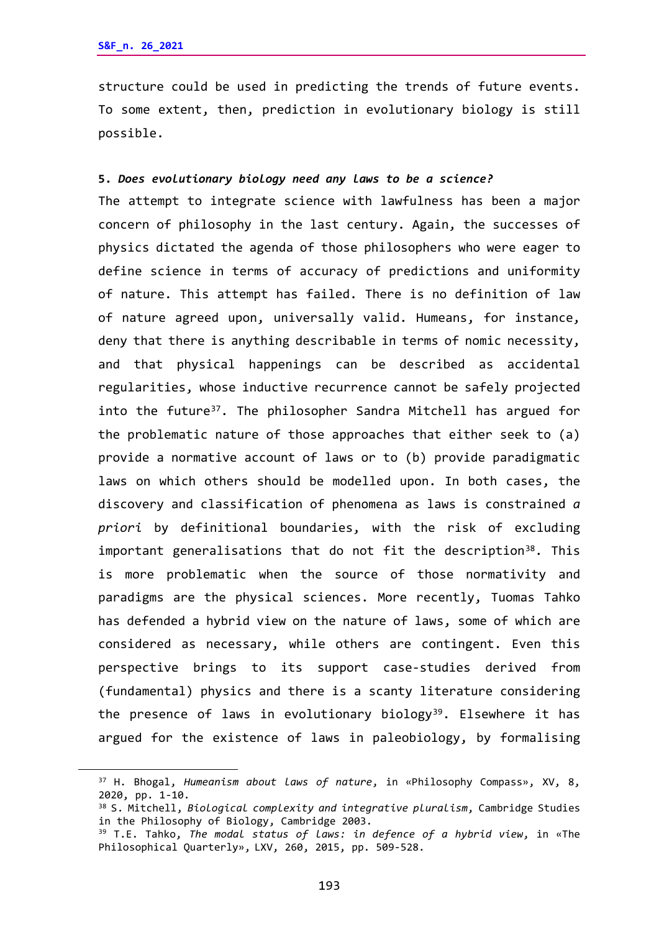structure could be used in predicting the trends of future events. To some extent, then, prediction in evolutionary biology is still possible.

## **5.** *Does evolutionary biology need any laws to be a science?*

The attempt to integrate science with lawfulness has been a major concern of philosophy in the last century. Again, the successes of physics dictated the agenda of those philosophers who were eager to define science in terms of accuracy of predictions and uniformity of nature. This attempt has failed. There is no definition of law of nature agreed upon, universally valid. Humeans, for instance, deny that there is anything describable in terms of nomic necessity, and that physical happenings can be described as accidental regularities, whose inductive recurrence cannot be safely projected into the future<sup>37</sup>. The philosopher Sandra Mitchell has argued for the problematic nature of those approaches that either seek to (a) provide a normative account of laws or to (b) provide paradigmatic laws on which others should be modelled upon. In both cases, the discovery and classification of phenomena as laws is constrained *a priori* by definitional boundaries, with the risk of excluding important generalisations that do not fit the description<sup>38</sup>. This is more problematic when the source of those normativity and paradigms are the physical sciences. More recently, Tuomas Tahko has defended a hybrid view on the nature of laws, some of which are considered as necessary, while others are contingent. Even this perspective brings to its support case-studies derived from (fundamental) physics and there is a scanty literature considering the presence of laws in evolutionary biology<sup>[39](#page-15-2)</sup>. Elsewhere it has argued for the existence of laws in paleobiology, by formalising

<span id="page-15-0"></span><sup>37</sup> H. Bhogal, *Humeanism about laws of nature*, in «Philosophy Compass», XV, 8, 2020, pp. 1-10.

<span id="page-15-1"></span><sup>38</sup> S. Mitchell, *Biological complexity and integrative pluralism*, Cambridge Studies in the Philosophy of Biology, Cambridge 2003.

<span id="page-15-2"></span><sup>39</sup> T.E. Tahko, *The modal status of laws: in defence of a hybrid view*, in «The Philosophical Quarterly», LXV, 260, 2015, pp. 509-528.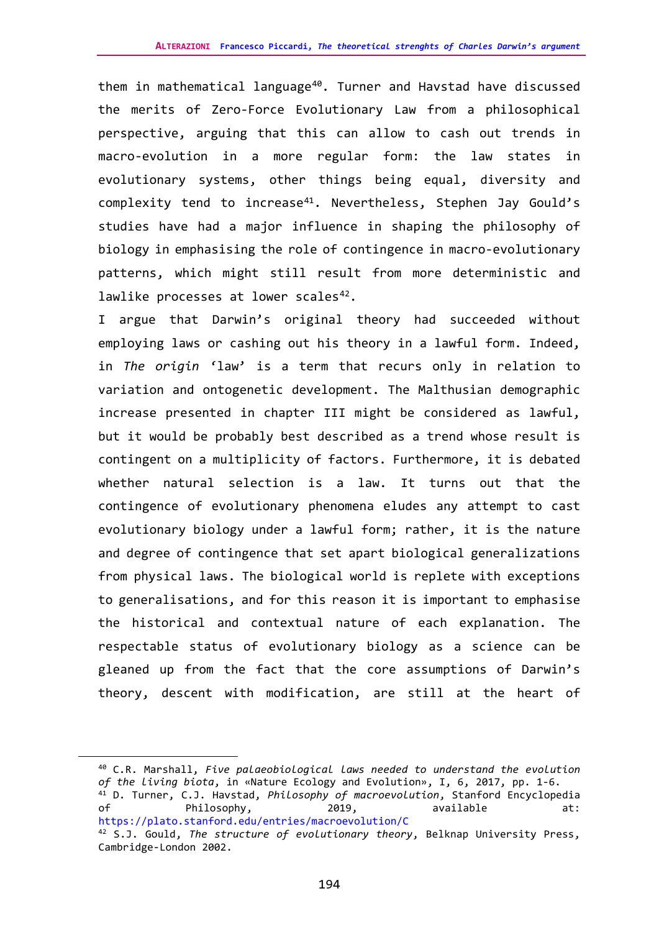them in mathematical language<sup>[40](#page-16-0)</sup>. Turner and Havstad have discussed the merits of Zero-Force Evolutionary Law from a philosophical perspective, arguing that this can allow to cash out trends in macro-evolution in a more regular form: the law states in evolutionary systems, other things being equal, diversity and complexity tend to increase<sup>41</sup>. Nevertheless, Stephen Jay Gould's studies have had a major influence in shaping the philosophy of biology in emphasising the role of contingence in macro-evolutionary patterns, which might still result from more deterministic and lawlike processes at lower scales<sup>42</sup>.

I argue that Darwin's original theory had succeeded without employing laws or cashing out his theory in a lawful form. Indeed, in *The origin* 'law' is a term that recurs only in relation to variation and ontogenetic development. The Malthusian demographic increase presented in chapter III might be considered as lawful, but it would be probably best described as a trend whose result is contingent on a multiplicity of factors. Furthermore, it is debated whether natural selection is a law. It turns out that the contingence of evolutionary phenomena eludes any attempt to cast evolutionary biology under a lawful form; rather, it is the nature and degree of contingence that set apart biological generalizations from physical laws. The biological world is replete with exceptions to generalisations, and for this reason it is important to emphasise the historical and contextual nature of each explanation. The respectable status of evolutionary biology as a science can be gleaned up from the fact that the core assumptions of Darwin's theory, descent with modification, are still at the heart of

<span id="page-16-1"></span><span id="page-16-0"></span><sup>40</sup> C.R. Marshall, *Five palaeobiological laws needed to understand the evolution of the living biota*, in «Nature Ecology and Evolution», I, 6, 2017, pp. 1-6. <sup>41</sup> D. Turner, C.J. Havstad, *Philosophy of macroevolution*, Stanford Encyclopedia of Philosophy, 2019, available at: [https://plato.stanford.edu/entries/macroevolution/C](about:blank) <sup>42</sup> S.J. Gould, *The structure of evolutionary theory*, Belknap University Press,

<span id="page-16-2"></span>Cambridge-London 2002.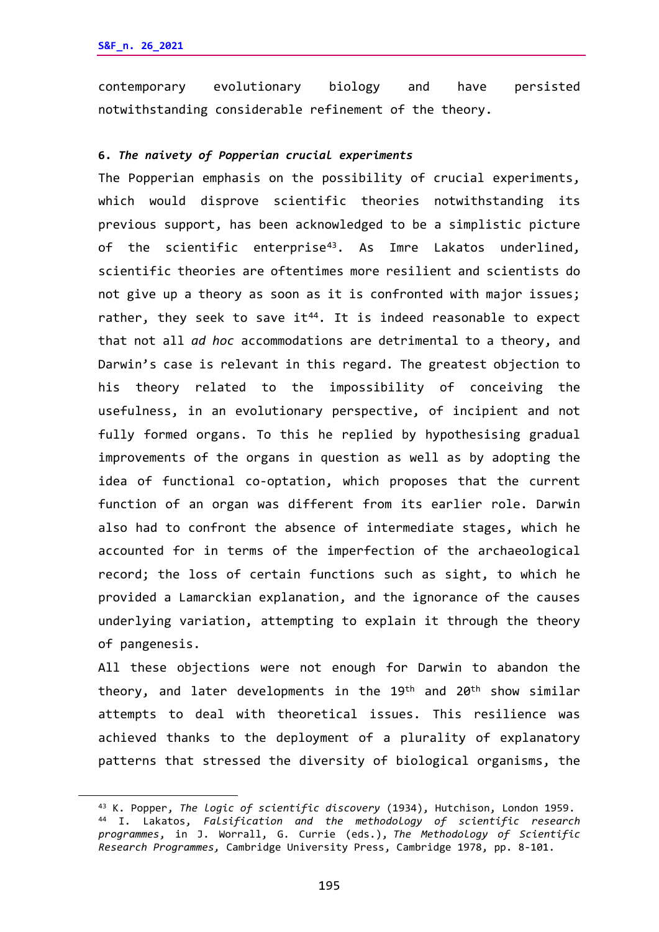contemporary evolutionary biology and have persisted notwithstanding considerable refinement of the theory.

## **6.** *The naivety of Popperian crucial experiments*

The Popperian emphasis on the possibility of crucial experiments, which would disprove scientific theories notwithstanding its previous support, has been acknowledged to be a simplistic picture of the scientific enterprise<sup>[43](#page-17-0)</sup>. As Imre Lakatos underlined, scientific theories are oftentimes more resilient and scientists do not give up a theory as soon as it is confronted with major issues; rather, they seek to save it<sup>44</sup>. It is indeed reasonable to expect that not all *ad hoc* accommodations are detrimental to a theory, and Darwin's case is relevant in this regard. The greatest objection to his theory related to the impossibility of conceiving the usefulness, in an evolutionary perspective, of incipient and not fully formed organs. To this he replied by hypothesising gradual improvements of the organs in question as well as by adopting the idea of functional co-optation, which proposes that the current function of an organ was different from its earlier role. Darwin also had to confront the absence of intermediate stages, which he accounted for in terms of the imperfection of the archaeological record; the loss of certain functions such as sight, to which he provided a Lamarckian explanation, and the ignorance of the causes underlying variation, attempting to explain it through the theory of pangenesis.

All these objections were not enough for Darwin to abandon the theory, and later developments in the 19th and 20th show similar attempts to deal with theoretical issues. This resilience was achieved thanks to the deployment of a plurality of explanatory patterns that stressed the diversity of biological organisms, the

<span id="page-17-1"></span><span id="page-17-0"></span><sup>43</sup> K. Popper, *The logic of scientific discovery* (1934), Hutchison, London 1959. <sup>44</sup> I. Lakatos, *Falsification and the methodology of scientific research programmes*, in J. Worrall, G. Currie (eds.), *The Methodology of Scientific Research Programmes,* Cambridge University Press, Cambridge 1978, pp. 8-101.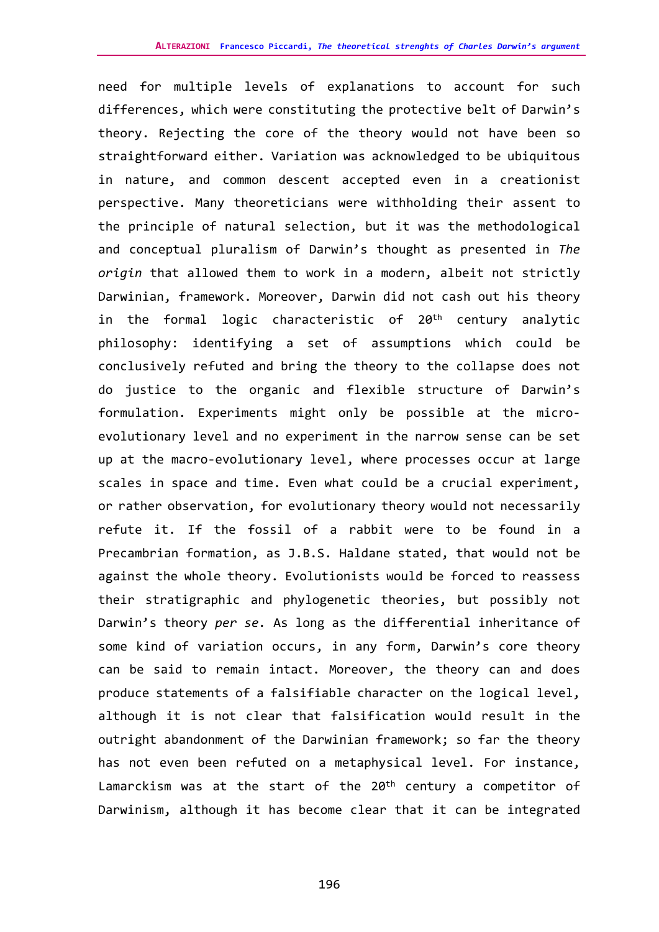need for multiple levels of explanations to account for such differences, which were constituting the protective belt of Darwin's theory. Rejecting the core of the theory would not have been so straightforward either. Variation was acknowledged to be ubiquitous in nature, and common descent accepted even in a creationist perspective. Many theoreticians were withholding their assent to the principle of natural selection, but it was the methodological and conceptual pluralism of Darwin's thought as presented in *The origin* that allowed them to work in a modern, albeit not strictly Darwinian, framework. Moreover, Darwin did not cash out his theory in the formal logic characteristic of 20<sup>th</sup> century analytic philosophy: identifying a set of assumptions which could be conclusively refuted and bring the theory to the collapse does not do justice to the organic and flexible structure of Darwin's formulation. Experiments might only be possible at the microevolutionary level and no experiment in the narrow sense can be set up at the macro-evolutionary level, where processes occur at large scales in space and time. Even what could be a crucial experiment, or rather observation, for evolutionary theory would not necessarily refute it. If the fossil of a rabbit were to be found in a Precambrian formation, as J.B.S. Haldane stated, that would not be against the whole theory. Evolutionists would be forced to reassess their stratigraphic and phylogenetic theories, but possibly not Darwin's theory *per se.* As long as the differential inheritance of some kind of variation occurs, in any form, Darwin's core theory can be said to remain intact. Moreover, the theory can and does produce statements of a falsifiable character on the logical level, although it is not clear that falsification would result in the outright abandonment of the Darwinian framework; so far the theory has not even been refuted on a metaphysical level. For instance, Lamarckism was at the start of the 20<sup>th</sup> century a competitor of Darwinism, although it has become clear that it can be integrated